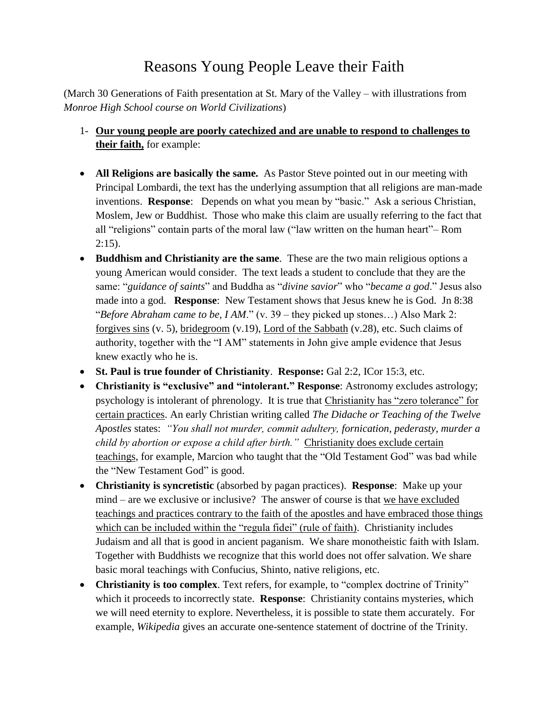## Reasons Young People Leave their Faith

(March 30 Generations of Faith presentation at St. Mary of the Valley – with illustrations from *Monroe High School course on World Civilizations*)

- 1- **Our young people are poorly catechized and are unable to respond to challenges to their faith,** for example:
- **All Religions are basically the same.** As Pastor Steve pointed out in our meeting with Principal Lombardi, the text has the underlying assumption that all religions are man-made inventions. **Response**: Depends on what you mean by "basic." Ask a serious Christian, Moslem, Jew or Buddhist. Those who make this claim are usually referring to the fact that all "religions" contain parts of the moral law ("law written on the human heart"– Rom  $2:15$ ).
- **Buddhism and Christianity are the same**. These are the two main religious options a young American would consider. The text leads a student to conclude that they are the same: "*guidance of saints*" and Buddha as "*divine savior*" who "*became a god*." Jesus also made into a god. **Response**: New Testament shows that Jesus knew he is God. Jn 8:38 "*Before Abraham came to be, I AM*." (v. 39 – they picked up stones…) Also Mark 2: forgives sins (v. 5), bridegroom (v.19), Lord of the Sabbath (v.28), etc. Such claims of authority, together with the "I AM" statements in John give ample evidence that Jesus knew exactly who he is.
- **St. Paul is true founder of Christianity**. **Response:** Gal 2:2, ICor 15:3, etc.
- **Christianity is "exclusive" and "intolerant." Response**: Astronomy excludes astrology; psychology is intolerant of phrenology. It is true that Christianity has "zero tolerance" for certain practices. An early Christian writing called *The Didache or Teaching of the Twelve Apostles* states: *"You shall not murder, commit adultery, fornication, pederasty, murder a child by abortion or expose a child after birth."* Christianity does exclude certain teachings, for example, Marcion who taught that the "Old Testament God" was bad while the "New Testament God" is good.
- **Christianity is syncretistic** (absorbed by pagan practices). **Response**: Make up your mind – are we exclusive or inclusive? The answer of course is that we have excluded teachings and practices contrary to the faith of the apostles and have embraced those things which can be included within the "regula fidei" (rule of faith). Christianity includes Judaism and all that is good in ancient paganism. We share monotheistic faith with Islam. Together with Buddhists we recognize that this world does not offer salvation. We share basic moral teachings with Confucius, Shinto, native religions, etc.
- **Christianity is too complex**. Text refers, for example, to "complex doctrine of Trinity" which it proceeds to incorrectly state. **Response**: Christianity contains mysteries, which we will need eternity to explore. Nevertheless, it is possible to state them accurately. For example, *Wikipedia* gives an accurate one-sentence statement of doctrine of the Trinity.